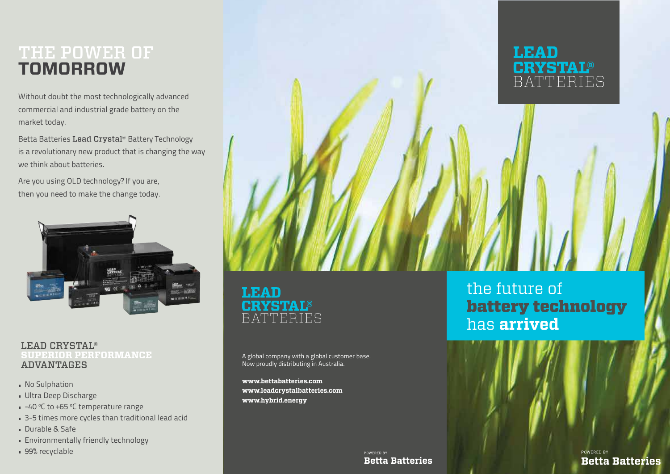### THE POWER OF **TOMORROW**

Without doubt the most technologically advanced commercial and industrial grade battery on the market today.

Betta Batteries Lead Crystal® Battery Technology is a revolutionary new product that is changing the way we think about batteries.

Are you using OLD technology? If you are, then you need to make the change today.



### LEAD CRYSTAL® **SUPERIOR PERFORMANCE** ADVANTAGES

- **No Sulphation**
- Ultra Deep Discharge
- $-40$  °C to +65 °C temperature range
- 3-5 times more cycles than traditional lead acid
- Durable & Safe
- **Environmentally friendly technology**
- 99% recyclable



**LEAD BATTERIES** 

A global company with a global customer base. Now proudly distributing in Australia.

**www.bettabatteries.com www.leadcrystalbatteries.com www.hybrid.energy**

the future of battery technology has **arrived**

POWERED BY **Betta Batteries** 

POWERED BY **Betta Batteries**